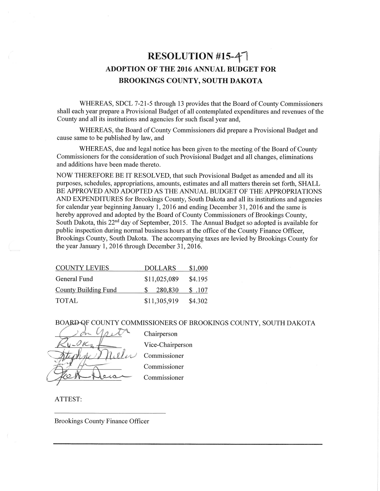# RESOLUTION #15-47 **ADOPTION OF THE 2016 ANNUAL BUDGET FOR BROOKINGS COUNTY, SOUTH DAKOTA**

WHEREAS, SDCL 7-21-5 through 13 provides that the Board of County Commissioners shall each vear prepare a Provisional Budget of all contemplated expenditures and revenues of the County and all its institutions and agencies for such fiscal year and,

WHEREAS, the Board of County Commissioners did prepare a Provisional Budget and cause same to be published by law, and

WHEREAS, due and legal notice has been given to the meeting of the Board of County Commissioners for the consideration of such Provisional Budget and all changes, eliminations and additions have been made thereto.

NOW THEREFORE BE IT RESOLVED, that such Provisional Budget as amended and all its purposes, schedules, appropriations, amounts, estimates and all matters therein set forth, SHALL BE APPROVED AND ADOPTED AS THE ANNUAL BUDGET OF THE APPROPRIATIONS AND EXPENDITURES for Brookings County, South Dakota and all its institutions and agencies for calendar year beginning January 1, 2016 and ending December 31, 2016 and the same is hereby approved and adopted by the Board of County Commissioners of Brookings County, South Dakota, this 22<sup>nd</sup> day of September, 2015. The Annual Budget so adopted is available for public inspection during normal business hours at the office of the County Finance Officer. Brookings County, South Dakota. The accompanying taxes are levied by Brookings County for the year January 1, 2016 through December 31, 2016.

| <b>COUNTY LEVIES</b>        | <b>DOLLARS</b> | \$1,000 |
|-----------------------------|----------------|---------|
| General Fund                | \$11,025,089   | \$4.195 |
| <b>County Building Fund</b> | 280,830        | \$.107  |
| <b>TOTAL</b>                | \$11,305,919   | \$4.302 |

BOARD OF COUNTY COMMISSIONERS OF BROOKINGS COUNTY, SOUTH DAKOTA



Chairperson Vice-Chairperson Commissioner Commissioner Commissioner

ATTEST:

**Brookings County Finance Officer**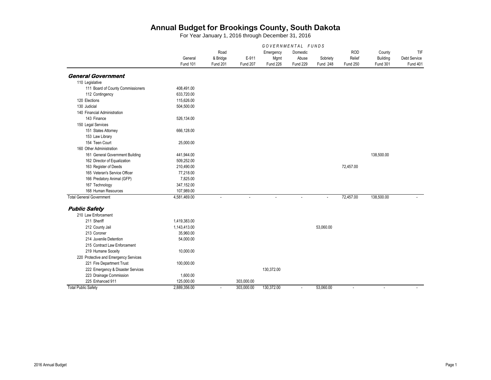|                                       | GOVERNMENTAL FUNDS |                 |                          |                 |                 |                |                          |                                       |                     |
|---------------------------------------|--------------------|-----------------|--------------------------|-----------------|-----------------|----------------|--------------------------|---------------------------------------|---------------------|
|                                       |                    | Road            | E-911<br><b>Fund 207</b> | Emergency       | Domestic        |                | <b>ROD</b>               | County<br>Building<br><b>Fund 301</b> | TIF<br>Debt Service |
|                                       | General            | & Bridge        |                          | Mgmt            | Abuse           | Sobriety       | Relief                   |                                       |                     |
|                                       | Fund 101           | <b>Fund 201</b> |                          | <b>Fund 226</b> | <b>Fund 229</b> | Fund 248       | <b>Fund 250</b>          |                                       | Fund 401            |
| <b>General Government</b>             |                    |                 |                          |                 |                 |                |                          |                                       |                     |
| 110 Legislative                       |                    |                 |                          |                 |                 |                |                          |                                       |                     |
| 111 Board of County Commissioners     | 408,491.00         |                 |                          |                 |                 |                |                          |                                       |                     |
| 112 Contingency                       | 633.720.00         |                 |                          |                 |                 |                |                          |                                       |                     |
| 120 Elections                         | 115,626.00         |                 |                          |                 |                 |                |                          |                                       |                     |
| 130 Judicial                          | 504,500.00         |                 |                          |                 |                 |                |                          |                                       |                     |
| 140 Financial Administration          |                    |                 |                          |                 |                 |                |                          |                                       |                     |
| 143 Finance                           | 526,134.00         |                 |                          |                 |                 |                |                          |                                       |                     |
| 150 Legal Services                    |                    |                 |                          |                 |                 |                |                          |                                       |                     |
| 151 States Attorney                   | 666,128.00         |                 |                          |                 |                 |                |                          |                                       |                     |
| 153 Law Library                       |                    |                 |                          |                 |                 |                |                          |                                       |                     |
| 154 Teen Court                        | 25,000.00          |                 |                          |                 |                 |                |                          |                                       |                     |
| 160 Other Administration              |                    |                 |                          |                 |                 |                |                          |                                       |                     |
| 161 General Government Building       | 441,944.00         |                 |                          |                 |                 |                |                          | 138,500.00                            |                     |
| 162 Director of Equalization          | 509.252.00         |                 |                          |                 |                 |                |                          |                                       |                     |
| 163 Register of Deeds                 | 210,490.00         |                 |                          |                 |                 |                | 72,457.00                |                                       |                     |
| 165 Veteran's Service Officer         | 77,218.00          |                 |                          |                 |                 |                |                          |                                       |                     |
| 166 Predatory Animal (GFP)            | 7,825.00           |                 |                          |                 |                 |                |                          |                                       |                     |
| 167 Technology                        | 347,152.00         |                 |                          |                 |                 |                |                          |                                       |                     |
| 168 Human Resources                   | 107,989.00         |                 |                          |                 |                 |                |                          |                                       |                     |
| <b>Total General Government</b>       | 4,581,469.00       | $\mathbf{r}$    | $\blacksquare$           | $\blacksquare$  | $\mathbf{r}$    | $\blacksquare$ | 72,457.00                | 138,500.00                            |                     |
| <b>Public Safety</b>                  |                    |                 |                          |                 |                 |                |                          |                                       |                     |
| 210 Law Enforcement                   |                    |                 |                          |                 |                 |                |                          |                                       |                     |
| 211 Sheriff                           | 1,419,383.00       |                 |                          |                 |                 |                |                          |                                       |                     |
| 212 County Jail                       | 1,143,413.00       |                 |                          |                 |                 | 53.060.00      |                          |                                       |                     |
| 213 Coroner                           | 35,960.00          |                 |                          |                 |                 |                |                          |                                       |                     |
| 214 Juvenile Detention                | 54,000.00          |                 |                          |                 |                 |                |                          |                                       |                     |
| 215 Contract Law Enforcement          |                    |                 |                          |                 |                 |                |                          |                                       |                     |
| 219 Humane Soceity                    | 10,000.00          |                 |                          |                 |                 |                |                          |                                       |                     |
| 220 Protective and Emergency Services |                    |                 |                          |                 |                 |                |                          |                                       |                     |
| 221 Fire Department Trust             | 100,000.00         |                 |                          |                 |                 |                |                          |                                       |                     |
| 222 Emergency & Disaster Services     |                    |                 |                          | 130,372.00      |                 |                |                          |                                       |                     |
| 223 Drainage Commission               | 1,600.00           |                 |                          |                 |                 |                |                          |                                       |                     |
| 225 Enhanced 911                      | 125,000.00         |                 | 303,000.00               |                 |                 |                |                          |                                       |                     |
| <b>Total Public Safety</b>            | 2,889,356.00       | $\mathbf{r}$    | 303,000.00               | 130,372.00      | $\mathbf{r}$    | 53,060.00      | $\overline{\phantom{a}}$ | ÷,                                    |                     |
|                                       |                    |                 |                          |                 |                 |                |                          |                                       |                     |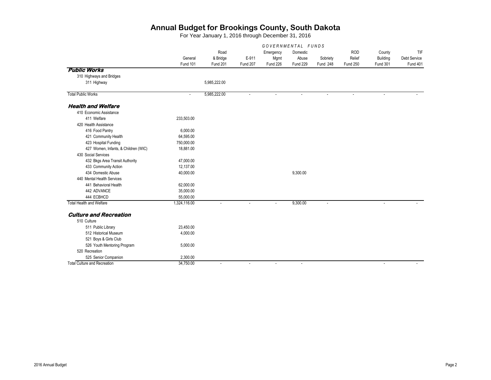|                                      | GOVERNMENTAL FUNDS |                 |                 |           |                 |                       |                          |                             |                     |
|--------------------------------------|--------------------|-----------------|-----------------|-----------|-----------------|-----------------------|--------------------------|-----------------------------|---------------------|
|                                      |                    | Road            |                 | Emergency | Domestic        |                       | <b>ROD</b>               | County                      | TIF                 |
|                                      | General            | & Bridge        | E-911           | Mgmt      | Abuse           | Sobriety              | Relief                   | Building                    | <b>Debt Service</b> |
|                                      | Fund 101           | <b>Fund 201</b> | <b>Fund 207</b> | Fund 226  | <b>Fund 229</b> | <b>Fund 248</b>       | <b>Fund 250</b>          | <b>Fund 301</b>             | <b>Fund 401</b>     |
| <b>Public Works</b>                  |                    |                 |                 |           |                 |                       |                          |                             |                     |
| 310 Highways and Bridges             |                    |                 |                 |           |                 |                       |                          |                             |                     |
| 311 Highway                          |                    | 5,985,222.00    |                 |           |                 |                       |                          |                             |                     |
| <b>Total Public Works</b>            | $\sim$             | 5,985,222.00    | ÷.              |           | $\overline{a}$  | $\tilde{\phantom{a}}$ | $\overline{\phantom{a}}$ | $\overline{\phantom{a}}$    |                     |
| <b>Health and Welfare</b>            |                    |                 |                 |           |                 |                       |                          |                             |                     |
| 410 Economic Assistance              |                    |                 |                 |           |                 |                       |                          |                             |                     |
| 411 Welfare                          | 233,503.00         |                 |                 |           |                 |                       |                          |                             |                     |
| 420 Health Assistance                |                    |                 |                 |           |                 |                       |                          |                             |                     |
| 416 Food Pantry                      | 6,000.00           |                 |                 |           |                 |                       |                          |                             |                     |
| 421 Community Health                 | 64,595.00          |                 |                 |           |                 |                       |                          |                             |                     |
| 423 Hospital Funding                 | 750,000.00         |                 |                 |           |                 |                       |                          |                             |                     |
| 427 Women, Infants, & Children (WIC) | 18,881.00          |                 |                 |           |                 |                       |                          |                             |                     |
| 430 Social Services                  |                    |                 |                 |           |                 |                       |                          |                             |                     |
| 432 Bkgs Area Transit Authority      | 47,000.00          |                 |                 |           |                 |                       |                          |                             |                     |
| 433 Community Action                 | 12,137.00          |                 |                 |           |                 |                       |                          |                             |                     |
| 434 Domestic Abuse                   | 40,000.00          |                 |                 |           | 9,300.00        |                       |                          |                             |                     |
| 440 Mental Health Services           |                    |                 |                 |           |                 |                       |                          |                             |                     |
| 441 Behavioral Health                | 62,000.00          |                 |                 |           |                 |                       |                          |                             |                     |
| 442 ADVANCE                          | 35,000.00          |                 |                 |           |                 |                       |                          |                             |                     |
| 444 ECBHCD                           | 55,000.00          |                 |                 |           |                 |                       |                          |                             |                     |
| <b>Total Health and Welfare</b>      | 1,324,116.00       | $\blacksquare$  | $\blacksquare$  |           | 9,300.00        | $\blacksquare$        |                          | $\blacksquare$              |                     |
| <b>Culture and Recreation</b>        |                    |                 |                 |           |                 |                       |                          |                             |                     |
| 510 Culture                          |                    |                 |                 |           |                 |                       |                          |                             |                     |
| 511 Public Library                   | 23,450.00          |                 |                 |           |                 |                       |                          |                             |                     |
| 512 Historical Museum                | 4,000.00           |                 |                 |           |                 |                       |                          |                             |                     |
| 521 Boys & Girls Club                |                    |                 |                 |           |                 |                       |                          |                             |                     |
| 526 Youth Mentoring Program          | 5,000.00           |                 |                 |           |                 |                       |                          |                             |                     |
| 520 Recreation                       |                    |                 |                 |           |                 |                       |                          |                             |                     |
| 525 Senior Companion                 | 2,300.00           |                 |                 |           |                 |                       |                          |                             |                     |
| <b>Total Culture and Recreation</b>  | 34,750.00          | $\blacksquare$  | $\blacksquare$  | $\sim$    | $\sim$          |                       |                          | $\mathcal{L}_{\mathcal{A}}$ | $\sim$              |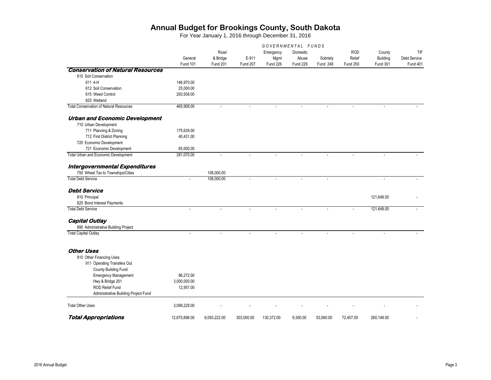|                                                                | GOVERNMENTAL FUNDS  |                                     |                          |                               |                                      |                      |                                         |                                              |                                               |
|----------------------------------------------------------------|---------------------|-------------------------------------|--------------------------|-------------------------------|--------------------------------------|----------------------|-----------------------------------------|----------------------------------------------|-----------------------------------------------|
|                                                                | General<br>Fund 101 | Road<br>& Bridge<br><b>Fund 201</b> | E-911<br><b>Fund 207</b> | Emergency<br>Mgmt<br>Fund 226 | Domestic<br>Abuse<br><b>Fund 229</b> | Sobriety<br>Fund 248 | <b>ROD</b><br>Relief<br><b>Fund 250</b> | County<br><b>Building</b><br><b>Fund 301</b> | TIF<br><b>Debt Service</b><br><b>Fund 401</b> |
| <b>Conservation of Natural Resources</b>                       |                     |                                     |                          |                               |                                      |                      |                                         |                                              |                                               |
| 610 Soil Conservation                                          |                     |                                     |                          |                               |                                      |                      |                                         |                                              |                                               |
| 611 4-H                                                        | 146,970.00          |                                     |                          |                               |                                      |                      |                                         |                                              |                                               |
| 612 Soil Conservation                                          | 25,000.00           |                                     |                          |                               |                                      |                      |                                         |                                              |                                               |
| 615 Weed Control                                               | 293,938.00          |                                     |                          |                               |                                      |                      |                                         |                                              |                                               |
| 625 Wetland                                                    |                     |                                     |                          |                               |                                      |                      |                                         |                                              |                                               |
| <b>Total Conservation of Natural Resources</b>                 | 465,908.00          | ÷,                                  |                          |                               |                                      |                      |                                         |                                              |                                               |
| <b>Urban and Economic Development</b><br>710 Urban Development |                     |                                     |                          |                               |                                      |                      |                                         |                                              |                                               |
| 711 Planning & Zoning                                          | 175,639.00          |                                     |                          |                               |                                      |                      |                                         |                                              |                                               |
| 712 First District Planning                                    | 40,431.00           |                                     |                          |                               |                                      |                      |                                         |                                              |                                               |
| 720 Economic Development                                       |                     |                                     |                          |                               |                                      |                      |                                         |                                              |                                               |
| 721 Economic Development                                       | 65,000.00           |                                     |                          |                               |                                      |                      |                                         |                                              |                                               |
| Total Urban and Economic Development                           | 281,070.00          | ÷,                                  |                          |                               |                                      |                      |                                         |                                              |                                               |
| Intergovernmental Expenditures                                 |                     |                                     |                          |                               |                                      |                      |                                         |                                              |                                               |
| 750 Wheel Tax to Townships/Cities                              |                     | 108,000.00                          |                          |                               |                                      |                      |                                         |                                              |                                               |
| <b>Total Debt Service</b>                                      | ä,                  | 108,000.00                          | ÷,                       | ÷.                            | $\mathbf{r}$                         | $\mathbf{r}$         |                                         | $\sim$                                       |                                               |
| <b>Debt Service</b>                                            |                     |                                     |                          |                               |                                      |                      |                                         |                                              |                                               |
| 810 Principal                                                  |                     |                                     |                          |                               |                                      |                      |                                         | 121,648.00                                   |                                               |
| 820 Bond Interest Payments                                     |                     |                                     |                          |                               |                                      |                      |                                         |                                              |                                               |
| <b>Total Debt Service</b>                                      | ÷.                  | ÷.                                  | ÷.                       | ÷.                            | ÷                                    | L.                   |                                         | 121,648.00                                   |                                               |
| <b>Capital Outlay</b>                                          |                     |                                     |                          |                               |                                      |                      |                                         |                                              |                                               |
| 890 Administrative Building Project                            |                     |                                     |                          |                               |                                      |                      |                                         |                                              |                                               |
| <b>Total Capital Outlay</b>                                    |                     |                                     |                          |                               |                                      |                      |                                         |                                              |                                               |
| <b>Other Uses</b>                                              |                     |                                     |                          |                               |                                      |                      |                                         |                                              |                                               |
|                                                                |                     |                                     |                          |                               |                                      |                      |                                         |                                              |                                               |
| 910 Other Financing Uses<br>911 Operating Transfers Out        |                     |                                     |                          |                               |                                      |                      |                                         |                                              |                                               |
| County Building Fund                                           |                     |                                     |                          |                               |                                      |                      |                                         |                                              |                                               |
| <b>Emergency Management</b>                                    | 86,272.00           |                                     |                          |                               |                                      |                      |                                         |                                              |                                               |
| Hwy & Bridge 201                                               | 3,000,000.00        |                                     |                          |                               |                                      |                      |                                         |                                              |                                               |
| <b>ROD Relief Fund</b>                                         | 12,957.00           |                                     |                          |                               |                                      |                      |                                         |                                              |                                               |
| Administrative Building Project Fund                           |                     |                                     |                          |                               |                                      |                      |                                         |                                              |                                               |
|                                                                |                     |                                     |                          |                               |                                      |                      |                                         |                                              |                                               |
| <b>Total Other Uses</b>                                        | 3,099,229.00        |                                     |                          |                               |                                      |                      |                                         |                                              |                                               |
| <b>Total Appropriations</b>                                    | 12.675.898.00       | 6,093,222.00                        | 303,000.00               | 130.372.00                    | 9,300.00                             | 53,060.00            | 72.457.00                               | 260.148.00                                   |                                               |